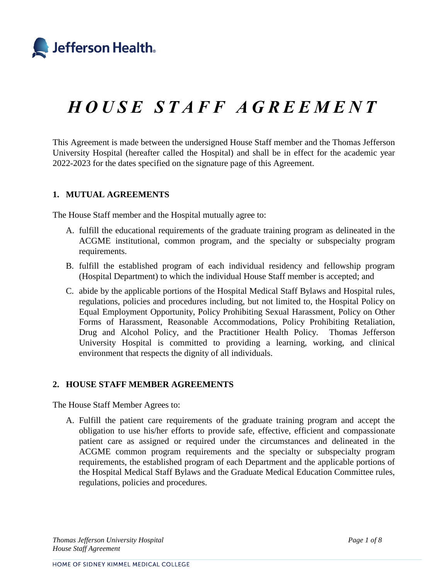

# *H O U S E S T A F F A G R E E M E N T*

This Agreement is made between the undersigned House Staff member and the Thomas Jefferson University Hospital (hereafter called the Hospital) and shall be in effect for the academic year 2022-2023 for the dates specified on the signature page of this Agreement.

#### **1. MUTUAL AGREEMENTS**

The House Staff member and the Hospital mutually agree to:

- A. fulfill the educational requirements of the graduate training program as delineated in the ACGME institutional, common program, and the specialty or subspecialty program requirements.
- B. fulfill the established program of each individual residency and fellowship program (Hospital Department) to which the individual House Staff member is accepted; and
- C. abide by the applicable portions of the Hospital Medical Staff Bylaws and Hospital rules, regulations, policies and procedures including, but not limited to, the Hospital Policy on Equal Employment Opportunity, Policy Prohibiting Sexual Harassment, Policy on Other Forms of Harassment, Reasonable Accommodations, Policy Prohibiting Retaliation, Drug and Alcohol Policy, and the Practitioner Health Policy. Thomas Jefferson University Hospital is committed to providing a learning, working, and clinical environment that respects the dignity of all individuals.

#### **2. HOUSE STAFF MEMBER AGREEMENTS**

The House Staff Member Agrees to:

A. Fulfill the patient care requirements of the graduate training program and accept the obligation to use his/her efforts to provide safe, effective, efficient and compassionate patient care as assigned or required under the circumstances and delineated in the ACGME common program requirements and the specialty or subspecialty program requirements, the established program of each Department and the applicable portions of the Hospital Medical Staff Bylaws and the Graduate Medical Education Committee rules, regulations, policies and procedures.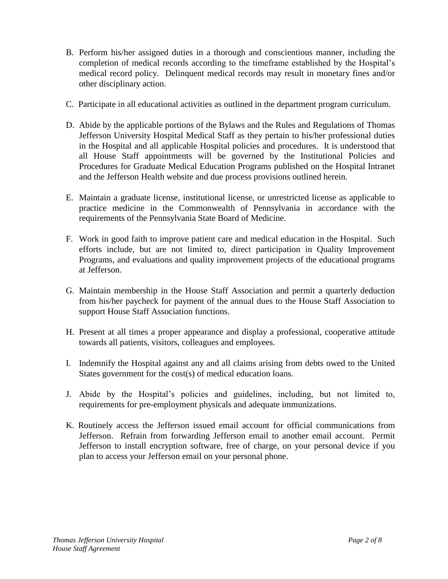- B. Perform his/her assigned duties in a thorough and conscientious manner*,* including the completion of medical records according to the timeframe established by the Hospital's medical record policy. Delinquent medical records may result in monetary fines and/or other disciplinary action.
- C. Participate in all educational activities as outlined in the department program curriculum.
- D. Abide by the applicable portions of the Bylaws and the Rules and Regulations of Thomas Jefferson University Hospital Medical Staff as they pertain to his/her professional duties in the Hospital and all applicable Hospital policies and procedures. It is understood that all House Staff appointments will be governed by the Institutional Policies and Procedures for Graduate Medical Education Programs published on the Hospital Intranet and the Jefferson Health website and due process provisions outlined herein.
- E. Maintain a graduate license, institutional license, or unrestricted license as applicable to practice medicine in the Commonwealth of Pennsylvania in accordance with the requirements of the Pennsylvania State Board of Medicine.
- F. Work in good faith to improve patient care and medical education in the Hospital. Such efforts include, but are not limited to, direct participation in Quality Improvement Programs, and evaluations and quality improvement projects of the educational programs at Jefferson.
- G. Maintain membership in the House Staff Association and permit a quarterly deduction from his/her paycheck for payment of the annual dues to the House Staff Association to support House Staff Association functions.
- H. Present at all times a proper appearance and display a professional, cooperative attitude towards all patients, visitors, colleagues and employees.
- I. Indemnify the Hospital against any and all claims arising from debts owed to the United States government for the cost(s) of medical education loans.
- J. Abide by the Hospital's policies and guidelines, including, but not limited to, requirements for pre-employment physicals and adequate immunizations.
- K. Routinely access the Jefferson issued email account for official communications from Jefferson. Refrain from forwarding Jefferson email to another email account. Permit Jefferson to install encryption software, free of charge, on your personal device if you plan to access your Jefferson email on your personal phone.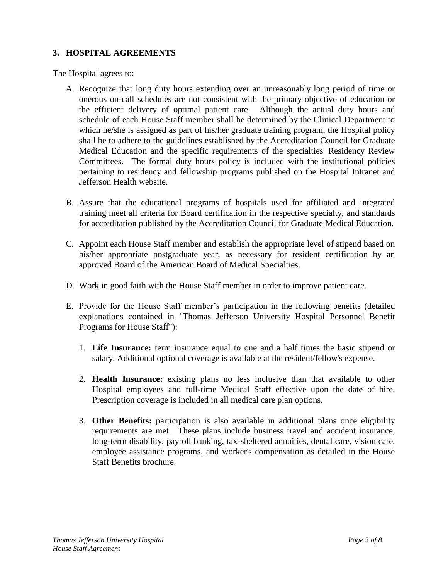## **3. HOSPITAL AGREEMENTS**

The Hospital agrees to:

- A. Recognize that long duty hours extending over an unreasonably long period of time or onerous on-call schedules are not consistent with the primary objective of education or the efficient delivery of optimal patient care. Although the actual duty hours and schedule of each House Staff member shall be determined by the Clinical Department to which he/she is assigned as part of his/her graduate training program, the Hospital policy shall be to adhere to the guidelines established by the Accreditation Council for Graduate Medical Education and the specific requirements of the specialties' Residency Review Committees. The formal duty hours policy is included with the institutional policies pertaining to residency and fellowship programs published on the Hospital Intranet and Jefferson Health website.
- B. Assure that the educational programs of hospitals used for affiliated and integrated training meet all criteria for Board certification in the respective specialty, and standards for accreditation published by the Accreditation Council for Graduate Medical Education.
- C. Appoint each House Staff member and establish the appropriate level of stipend based on his/her appropriate postgraduate year, as necessary for resident certification by an approved Board of the American Board of Medical Specialties.
- D. Work in good faith with the House Staff member in order to improve patient care.
- E. Provide for the House Staff member's participation in the following benefits (detailed explanations contained in "Thomas Jefferson University Hospital Personnel Benefit Programs for House Staff"):
	- 1. **Life Insurance:** term insurance equal to one and a half times the basic stipend or salary. Additional optional coverage is available at the resident/fellow's expense.
	- 2. **Health Insurance:** existing plans no less inclusive than that available to other Hospital employees and full-time Medical Staff effective upon the date of hire. Prescription coverage is included in all medical care plan options.
	- 3. **Other Benefits:** participation is also available in additional plans once eligibility requirements are met. These plans include business travel and accident insurance, long-term disability, payroll banking, tax-sheltered annuities, dental care, vision care, employee assistance programs, and worker's compensation as detailed in the House Staff Benefits brochure.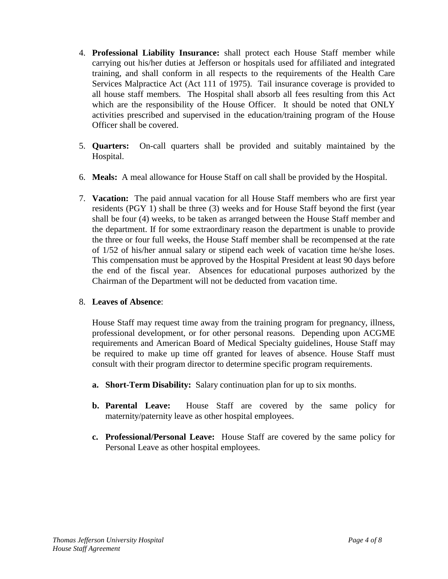- 4. **Professional Liability Insurance:** shall protect each House Staff member while carrying out his/her duties at Jefferson or hospitals used for affiliated and integrated training*,* and shall conform in all respects to the requirements of the Health Care Services Malpractice Act (Act 111 of 1975). Tail insurance coverage is provided to all house staff members*.* The Hospital shall absorb all fees resulting from this Act which are the responsibility of the House Officer. It should be noted that ONLY activities prescribed and supervised in the education/training program of the House Officer shall be covered.
- 5. **Quarters:** On-call quarters shall be provided and suitably maintained by the Hospital.
- 6. **Meals:** A meal allowance for House Staff on call shall be provided by the Hospital.
- 7. **Vacation:** The paid annual vacation for all House Staff members who are first year residents (PGY 1) shall be three (3) weeks and for House Staff beyond the first (year shall be four (4) weeks, to be taken as arranged between the House Staff member and the department. If for some extraordinary reason the department is unable to provide the three or four full weeks, the House Staff member shall be recompensed at the rate of 1/52 of his/her annual salary or stipend each week of vacation time he/she loses. This compensation must be approved by the Hospital President at least 90 days before the end of the fiscal year. Absences for educational purposes authorized by the Chairman of the Department will not be deducted from vacation time.

### 8. **Leaves of Absence**:

House Staff may request time away from the training program for pregnancy, illness, professional development, or for other personal reasons. Depending upon ACGME requirements and American Board of Medical Specialty guidelines, House Staff may be required to make up time off granted for leaves of absence. House Staff must consult with their program director to determine specific program requirements.

- **a. Short-Term Disability:** Salary continuation plan for up to six months.
- **b. Parental Leave:** House Staff are covered by the same policy for maternity/paternity leave as other hospital employees.
- **c. Professional/Personal Leave:** House Staff are covered by the same policy for Personal Leave as other hospital employees.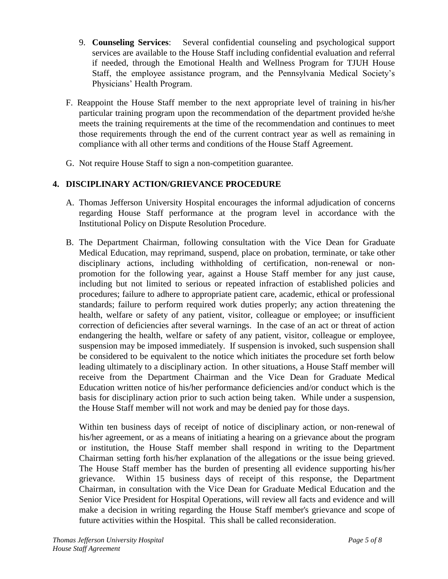- 9. **Counseling Services**: Several confidential counseling and psychological support services are available to the House Staff including confidential evaluation and referral if needed, through the Emotional Health and Wellness Program for TJUH House Staff, the employee assistance program, and the Pennsylvania Medical Society's Physicians' Health Program.
- F. Reappoint the House Staff member to the next appropriate level of training in his/her particular training program upon the recommendation of the department provided he/she meets the training requirements at the time of the recommendation and continues to meet those requirements through the end of the current contract year as well as remaining in compliance with all other terms and conditions of the House Staff Agreement.
- G. Not require House Staff to sign a non-competition guarantee.

# **4. DISCIPLINARY ACTION/GRIEVANCE PROCEDURE**

- A. Thomas Jefferson University Hospital encourages the informal adjudication of concerns regarding House Staff performance at the program level in accordance with the Institutional Policy on Dispute Resolution Procedure.
- B. The Department Chairman, following consultation with the Vice Dean for Graduate Medical Education, may reprimand, suspend, place on probation*,* terminate, or take other disciplinary actions, including withholding of certification, non-renewal or nonpromotion for the following year, against a House Staff member for any just cause, including but not limited to serious or repeated infraction of established policies and procedures; failure to adhere to appropriate patient care, academic, ethical or professional standards; failure to perform required work duties properly; any action threatening the health, welfare or safety of any patient, visitor, colleague or employee; or insufficient correction of deficiencies after several warnings. In the case of an act or threat of action endangering the health, welfare or safety of any patient, visitor, colleague or employee, suspension may be imposed immediately. If suspension is invoked, such suspension shall be considered to be equivalent to the notice which initiates the procedure set forth below leading ultimately to a disciplinary action. In other situations, a House Staff member will receive from the Department Chairman and the Vice Dean for Graduate Medical Education written notice of his/her performance deficiencies and/or conduct which is the basis for disciplinary action prior to such action being taken. While under a suspension, the House Staff member will not work and may be denied pay for those days.

Within ten business days of receipt of notice of disciplinary action, or non-renewal of his/her agreement, or as a means of initiating a hearing on a grievance about the program or institution, the House Staff member shall respond in writing to the Department Chairman setting forth his/her explanation of the allegations or the issue being grieved. The House Staff member has the burden of presenting all evidence supporting his/her grievance. Within 15 business days of receipt of this response, the Department Chairman, in consultation with the Vice Dean for Graduate Medical Education and the Senior Vice President for Hospital Operations, will review all facts and evidence and will make a decision in writing regarding the House Staff member's grievance and scope of future activities within the Hospital. This shall be called reconsideration.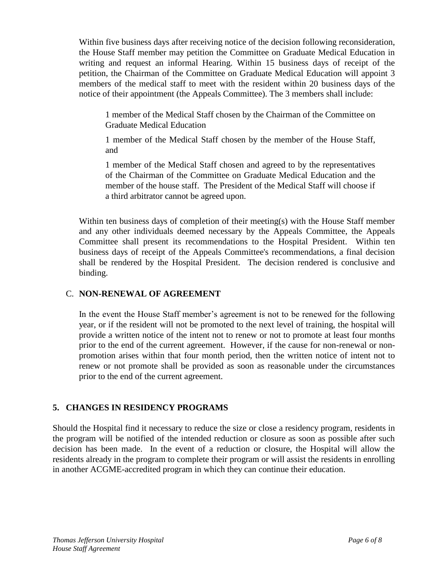Within five business days after receiving notice of the decision following reconsideration, the House Staff member may petition the Committee on Graduate Medical Education in writing and request an informal Hearing. Within 15 business days of receipt of the petition, the Chairman of the Committee on Graduate Medical Education will appoint 3 members of the medical staff to meet with the resident within 20 business days of the notice of their appointment (the Appeals Committee). The 3 members shall include:

1 member of the Medical Staff chosen by the Chairman of the Committee on Graduate Medical Education

1 member of the Medical Staff chosen by the member of the House Staff, and

1 member of the Medical Staff chosen and agreed to by the representatives of the Chairman of the Committee on Graduate Medical Education and the member of the house staff. The President of the Medical Staff will choose if a third arbitrator cannot be agreed upon.

Within ten business days of completion of their meeting(s) with the House Staff member and any other individuals deemed necessary by the Appeals Committee, the Appeals Committee shall present its recommendations to the Hospital President. Within ten business days of receipt of the Appeals Committee's recommendations, a final decision shall be rendered by the Hospital President. The decision rendered is conclusive and binding.

## C. **NON-RENEWAL OF AGREEMENT**

In the event the House Staff member's agreement is not to be renewed for the following year, or if the resident will not be promoted to the next level of training, the hospital will provide a written notice of the intent not to renew or not to promote at least four months prior to the end of the current agreement. However, if the cause for non-renewal or nonpromotion arises within that four month period, then the written notice of intent not to renew or not promote shall be provided as soon as reasonable under the circumstances prior to the end of the current agreement.

# **5. CHANGES IN RESIDENCY PROGRAMS**

Should the Hospital find it necessary to reduce the size or close a residency program, residents in the program will be notified of the intended reduction or closure as soon as possible after such decision has been made. In the event of a reduction or closure, the Hospital will allow the residents already in the program to complete their program or will assist the residents in enrolling in another ACGME-accredited program in which they can continue their education.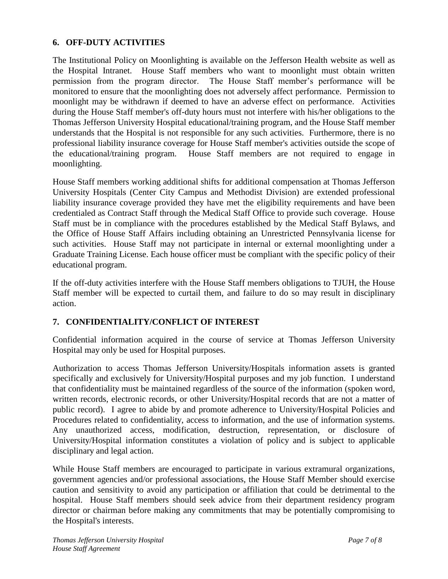### **6. OFF-DUTY ACTIVITIES**

The Institutional Policy on Moonlighting is available on the Jefferson Health website as well as the Hospital Intranet. House Staff members who want to moonlight must obtain written permission from the program director. The House Staff member's performance will be monitored to ensure that the moonlighting does not adversely affect performance. Permission to moonlight may be withdrawn if deemed to have an adverse effect on performance. Activities during the House Staff member's off-duty hours must not interfere with his/her obligations to the Thomas Jefferson University Hospital educational/training program, and the House Staff member understands that the Hospital is not responsible for any such activities. Furthermore, there is no professional liability insurance coverage for House Staff member's activities outside the scope of the educational/training program. House Staff members are not required to engage in moonlighting.

House Staff members working additional shifts for additional compensation at Thomas Jefferson University Hospitals (Center City Campus and Methodist Division) are extended professional liability insurance coverage provided they have met the eligibility requirements and have been credentialed as Contract Staff through the Medical Staff Office to provide such coverage. House Staff must be in compliance with the procedures established by the Medical Staff Bylaws, and the Office of House Staff Affairs including obtaining an Unrestricted Pennsylvania license for such activities. House Staff may not participate in internal or external moonlighting under a Graduate Training License. Each house officer must be compliant with the specific policy of their educational program.

If the off-duty activities interfere with the House Staff members obligations to TJUH, the House Staff member will be expected to curtail them, and failure to do so may result in disciplinary action.

### **7. CONFIDENTIALITY/CONFLICT OF INTEREST**

Confidential information acquired in the course of service at Thomas Jefferson University Hospital may only be used for Hospital purposes.

Authorization to access Thomas Jefferson University/Hospitals information assets is granted specifically and exclusively for University/Hospital purposes and my job function. I understand that confidentiality must be maintained regardless of the source of the information (spoken word, written records, electronic records, or other University/Hospital records that are not a matter of public record). I agree to abide by and promote adherence to University/Hospital Policies and Procedures related to confidentiality, access to information, and the use of information systems. Any unauthorized access, modification, destruction, representation, or disclosure of University/Hospital information constitutes a violation of policy and is subject to applicable disciplinary and legal action.

While House Staff members are encouraged to participate in various extramural organizations, government agencies and/or professional associations, the House Staff Member should exercise caution and sensitivity to avoid any participation or affiliation that could be detrimental to the hospital. House Staff members should seek advice from their department residency program director or chairman before making any commitments that may be potentially compromising to the Hospital's interests.